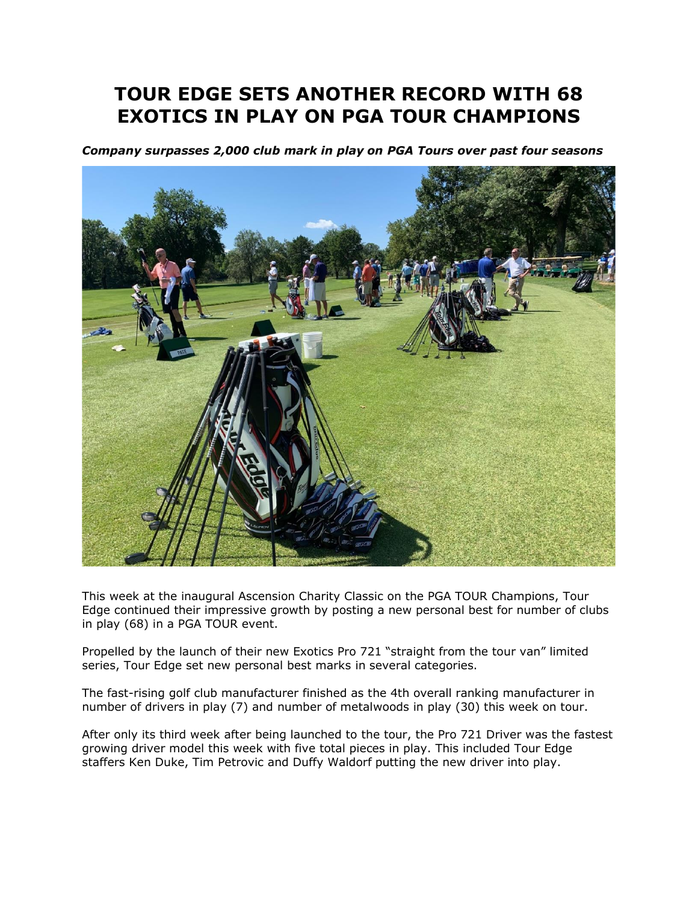## **TOUR EDGE SETS ANOTHER RECORD WITH 68 EXOTICS IN PLAY ON PGA TOUR CHAMPIONS**

*Company surpasses 2,000 club mark in play on PGA Tours over past four seasons* 



This week at the inaugural Ascension Charity Classic on the PGA TOUR Champions, Tour Edge continued their impressive growth by posting a new personal best for number of clubs in play (68) in a PGA TOUR event.

Propelled by the launch of their new Exotics Pro 721 "straight from the tour van" limited series, Tour Edge set new personal best marks in several categories.

The fast-rising golf club manufacturer finished as the 4th overall ranking manufacturer in number of drivers in play (7) and number of metalwoods in play (30) this week on tour.

After only its third week after being launched to the tour, the Pro 721 Driver was the fastest growing driver model this week with five total pieces in play. This included Tour Edge staffers Ken Duke, Tim Petrovic and Duffy Waldorf putting the new driver into play.